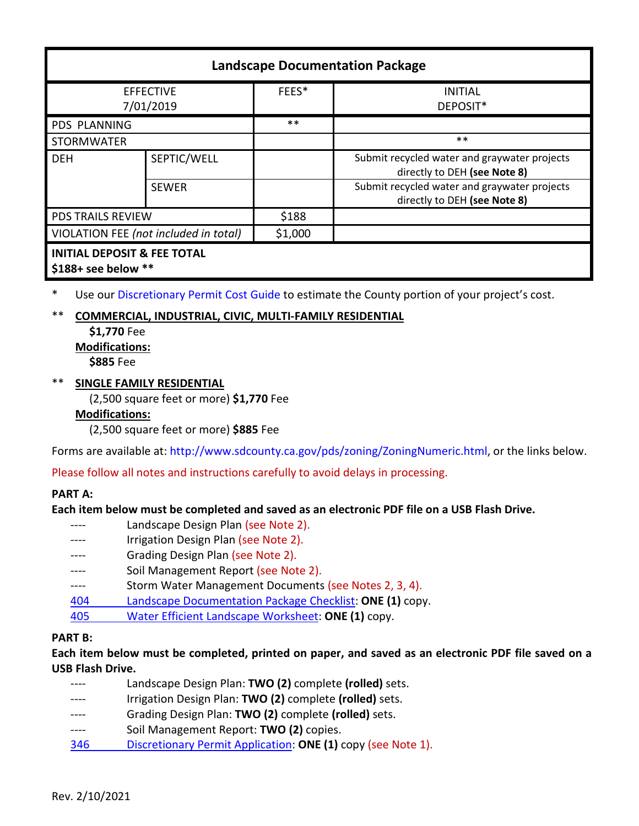| <b>Landscape Documentation Package</b>                         |              |         |                                                                              |
|----------------------------------------------------------------|--------------|---------|------------------------------------------------------------------------------|
| <b>EFFECTIVE</b><br>7/01/2019                                  |              | FEES*   | <b>INITIAL</b><br>DEPOSIT*                                                   |
| <b>PDS PLANNING</b>                                            |              | $***$   |                                                                              |
| <b>STORMWATER</b>                                              |              |         | $***$                                                                        |
| <b>DEH</b>                                                     | SEPTIC/WELL  |         | Submit recycled water and graywater projects<br>directly to DEH (see Note 8) |
|                                                                | <b>SEWER</b> |         | Submit recycled water and graywater projects<br>directly to DEH (see Note 8) |
| <b>PDS TRAILS REVIEW</b>                                       |              | \$188   |                                                                              |
| VIOLATION FEE (not included in total)                          |              | \$1,000 |                                                                              |
| <b>INITIAL DEPOSIT &amp; FEE TOTAL</b><br>$$188+$ see below ** |              |         |                                                                              |

\* Use ou[r Discretionary Permit Cost Guide](http://www.sandiegocounty.gov/content/dam/sdc/pds/docs/Discretionary_Permit_Cost_Guide.xlsx) to estimate the County portion of your project's cost.

# \*\* **COMMERCIAL, INDUSTRIAL, CIVIC, MULTI-FAMILY RESIDENTIAL**

**\$1,770** Fee **Modifications: \$885** Fee

## \*\* **SINGLE FAMILY RESIDENTIAL**

(2,500 square feet or more) **\$1,770** Fee

### **Modifications:**

(2,500 square feet or more) **\$885** Fee

Forms are available at[: http://www.sdcounty.ca.gov/pds/zoning/ZoningNumeric.html,](http://www.sdcounty.ca.gov/pds/zoning/ZoningNumeric.html) or the links below.

# Please follow all notes and instructions carefully to avoid delays in processing.

### **PART A:**

### **Each item below must be completed and saved as an electronic PDF file on a USB Flash Drive.**

---- Landscape Design Plan (see Note 2). Irrigation Design Plan (see Note 2). Grading Design Plan (see Note 2). ---- Soil Management Report (see Note 2). ---- Storm Water Management Documents (see Notes 2, 3, 4). 404 [Landscape Documentation Package Checklist:](https://www.sandiegocounty.gov/pds/zoning/formfields/PDS-PLN-404.pdf) **ONE (1)** copy. 405 [Water Efficient Landscape Worksheet:](https://www.sandiegocounty.gov/content/dam/sdc/pds/zoning/formfields/PDS-PLN-405.pdf) **ONE (1)** copy.

# **PART B:**

**Each item below must be completed, printed on paper, and saved as an electronic PDF file saved on a USB Flash Drive.**

- ---- Landscape Design Plan: **TWO (2)** complete **(rolled)** sets. Irrigation Design Plan: TWO (2) complete (rolled) sets.
- ---- Grading Design Plan: **TWO (2)** complete **(rolled)** sets.
- ---- Soil Management Report: **TWO (2)** copies.
- 346 [Discretionary Permit Application:](https://www.sandiegocounty.gov/content/dam/sdc/pds/zoning/formfields/PDS-PLN-346.pdf) **ONE (1)** copy (see Note 1).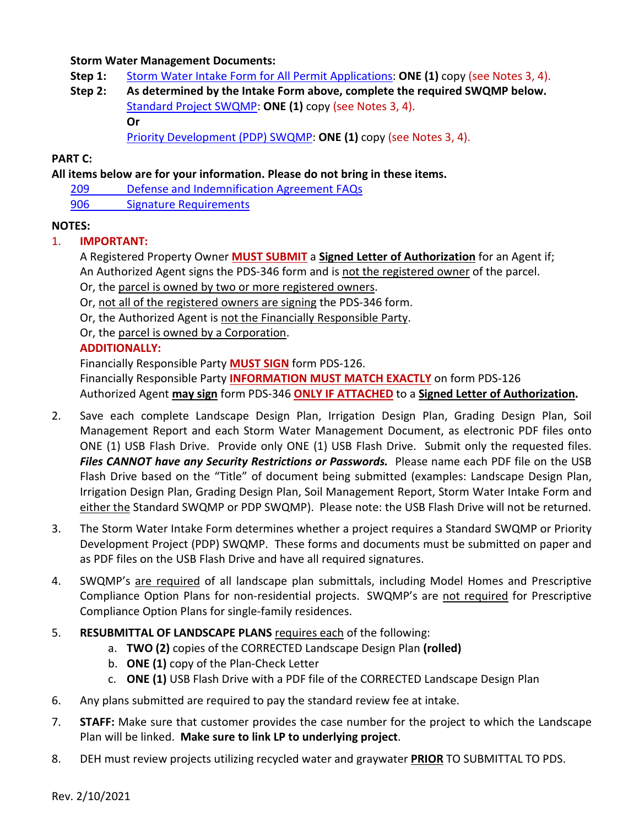### **Storm Water Management Documents:**

**Step 1:** [Storm Water Intake Form for All Permit Applications:](http://www.sandiegocounty.gov/content/dam/sdc/pds/zoning/formfields/SWQMP-Intake-Form.pdf) **ONE (1)** copy (see Notes 3, 4).

# **Step 2: As determined by the Intake Form above, complete the required SWQMP below.** [Standard Project SWQMP:](http://www.sandiegocounty.gov/content/dam/sdc/pds/zoning/formfields/SWQMP-Standard.pdf) **ONE (1)** copy (see Notes 3, 4). **Or**

[Priority Development \(PDP\) SWQMP:](https://www.sandiegocounty.gov/content/sdc/dpw/watersheds/DevelopmentandConstruction/BMP_Design_Manual.html) **ONE (1)** copy (see Notes 3, 4).

### **PART C:**

## **All items below are for your information. Please do not bring in these items.**

- 209 [Defense and Indemnification](https://www.sandiegocounty.gov/content/dam/sdc/pds/zoning/formfields/PDS-PLN-209.pdf) Agreement FAQs
- [906 Signature Requirements](https://www.sandiegocounty.gov/content/dam/sdc/pds/zoning/formfields/PDS-PLN-906.pdf)

## **NOTES:**

# 1. **IMPORTANT:**

- A Registered Property Owner **MUST SUBMIT** a **Signed Letter of Authorization** for an Agent if; An Authorized Agent signs the PDS-346 form and is not the registered owner of the parcel. Or, the parcel is owned by two or more registered owners.
- Or, not all of the registered owners are signing the PDS-346 form.
- Or, the Authorized Agent is not the Financially Responsible Party.
- Or, the parcel is owned by a Corporation.

# **ADDITIONALLY:**

Financially Responsible Party **MUST SIGN** form PDS-126. Financially Responsible Party **INFORMATION MUST MATCH EXACTLY** on form PDS-126 Authorized Agent **may sign** form PDS-346 **ONLY IF ATTACHED** to a **Signed Letter of Authorization.**

- 2. Save each complete Landscape Design Plan, Irrigation Design Plan, Grading Design Plan, Soil Management Report and each Storm Water Management Document, as electronic PDF files onto ONE (1) USB Flash Drive. Provide only ONE (1) USB Flash Drive. Submit only the requested files. *Files CANNOT have any Security Restrictions or Passwords.* Please name each PDF file on the USB Flash Drive based on the "Title" of document being submitted (examples: Landscape Design Plan, Irrigation Design Plan, Grading Design Plan, Soil Management Report, Storm Water Intake Form and either the Standard SWQMP or PDP SWQMP). Please note: the USB Flash Drive will not be returned.
- 3. The Storm Water Intake Form determines whether a project requires a Standard SWQMP or Priority Development Project (PDP) SWQMP. These forms and documents must be submitted on paper and as PDF files on the USB Flash Drive and have all required signatures.
- 4. SWQMP's are required of all landscape plan submittals, including Model Homes and Prescriptive Compliance Option Plans for non-residential projects. SWQMP's are not required for Prescriptive Compliance Option Plans for single-family residences.
- 5. **RESUBMITTAL OF LANDSCAPE PLANS** requires each of the following:
	- a. **TWO (2)** copies of the CORRECTED Landscape Design Plan **(rolled)**
	- b. **ONE (1)** copy of the Plan-Check Letter
	- c. **ONE (1)** USB Flash Drive with a PDF file of the CORRECTED Landscape Design Plan
- 6. Any plans submitted are required to pay the standard review fee at intake.
- 7. **STAFF:** Make sure that customer provides the case number for the project to which the Landscape Plan will be linked. **Make sure to link LP to underlying project**.
- 8. DEH must review projects utilizing recycled water and graywater **PRIOR** TO SUBMITTAL TO PDS.